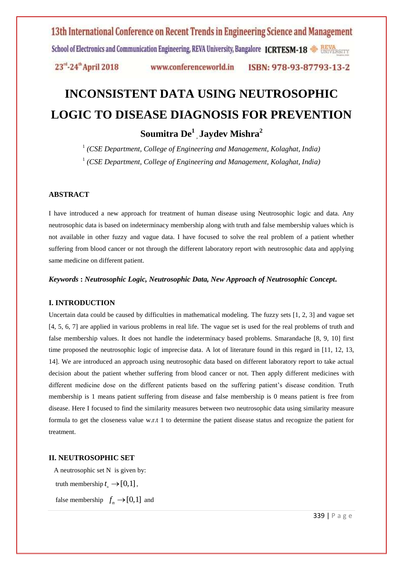# 13th International Conference on Recent Trends in Engineering Science and Management School of Electronics and Communication Engineering, REVA University, Bangalore ICRTESM-18

23<sup>rd</sup>-24<sup>th</sup> April 2018 www.conferenceworld.in ISBN: 978-93-87793-13-2

# **INCONSISTENT DATA USING NEUTROSOPHIC LOGIC TO DISEASE DIAGNOSIS FOR PREVENTION**

**Soumitra De<sup>1</sup>** , **Jaydev Mishra<sup>2</sup>**

<sup>1</sup> (CSE Department, College of Engineering and Management, Kolaghat, India) <sup>1</sup> (CSE Department, College of Engineering and Management, Kolaghat, India)

#### **ABSTRACT**

I have introduced a new approach for treatment of human disease using Neutrosophic logic and data. Any neutrosophic data is based on indeterminacy membership along with truth and false membership values which is not available in other fuzzy and vague data. I have focused to solve the real problem of a patient whether suffering from blood cancer or not through the different laboratory report with neutrosophic data and applying same medicine on different patient.

*Keywords* **:** *Neutrosophic Logic, Neutrosophic Data, New Approach of Neutrosophic Concept***.**

#### **I. INTRODUCTION**

Uncertain data could be caused by difficulties in mathematical modeling. The fuzzy sets [1, 2, 3] and vague set [4, 5, 6, 7] are applied in various problems in real life. The vague set is used for the real problems of truth and false membership values. It does not handle the indeterminacy based problems. Smarandache [8, 9, 10] first time proposed the neutrosophic logic of imprecise data. A lot of literature found in this regard in [11, 12, 13, 14]. We are introduced an approach using neutrosophic data based on different laboratory report to take actual decision about the patient whether suffering from blood cancer or not. Then apply different medicines with different medicine dose on the different patients based on the suffering patient's disease condition. Truth membership is 1 means patient suffering from disease and false membership is 0 means patient is free from disease. Here I focused to find the similarity measures between two neutrosophic data using similarity measure formula to get the closeness value w.r.t 1 to determine the patient disease status and recognize the patient for treatment.

#### **II. NEUTROSOPHIC SET**

A neutrosophic set N is given by:

truth membership  $t_n \rightarrow [0,1]$ ,

false membership  $f_n \to [0,1]$  and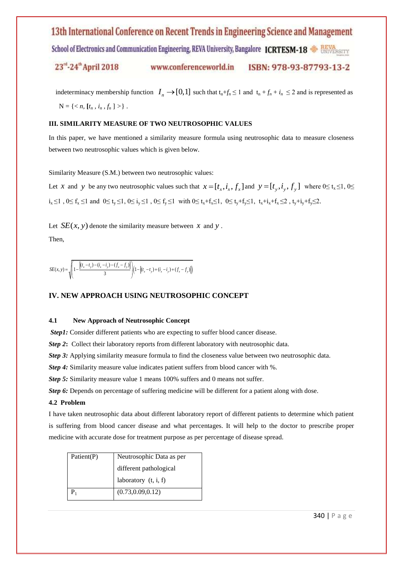School of Electronics and Communication Engineering, REVA University, Bangalore ICRTESM-18 SURVERSITY

23<sup>rd</sup>-24<sup>th</sup> April 2018 www.conferenceworld.in ISBN: 978-93-87793-13-2

indeterminacy membership function  $I_n \to [0,1]$  such that  $t_n + f_n \le 1$  and  $t_n + f_n + i_n \le 2$  and is represented as  $N = \{ \langle n, [t_n, i_n, f_n] \rangle \}.$ 

#### **III. SIMILARITY MEASURE OF TWO NEUTROSOPHIC VALUES**

In this paper, we have mentioned a similarity measure formula using neutrosophic data to measure closeness between two neutrosophic values which is given below.

Similarity Measure (S.M.) between two neutrosophic values:

Let *x* and *y* be any two neutrosophic values such that  $x = [t_x, i_x, f_x]$  and  $y = [t_y, i_y, f_y]$  where  $0 \le t_x \le 1, 0 \le t_y \le 1$  $i_x \le 1$ ,  $0 \le f_x \le 1$  and  $0 \le t_y \le 1$ ,  $0 \le i_y \le 1$ ,  $0 \le f_y \le 1$  with  $0 \le t_x + f_x \le 1$ ,  $0 \le t_y + f_y \le 1$ ,  $t_x + i_x + f_x \le 2$ ,  $t_y + i_y + f_y \le 2$ .

Let  $SE(x, y)$  denote the similarity measure between x and y.

Then,

$$
SE(x, y) = \sqrt{\left(1 - \frac{\left|(t_x - t_y) - (t_x - t_y) - (f_x - f_y)\right|}{3}\right)\left(1 - \left|(t_x - t_y) + (t_x - t_y) + (f_x - f_y)\right|\right)}
$$

#### **IV. NEW APPROACH USING NEUTROSOPHIC CONCEPT**

#### **4.1 New Approach of Neutrosophic Concept**

*Step1*: Consider different patients who are expecting to suffer blood cancer disease.

**Step 2:** Collect their laboratory reports from different laboratory with neutrosophic data.

**Step 3:** Applying similarity measure formula to find the closeness value between two neutrosophic data.

*Step 4:* Similarity measure value indicates patient suffers from blood cancer with %.

*Step 5:* Similarity measure value 1 means 100% suffers and 0 means not suffer.

**Step 6:** Depends on percentage of suffering medicine will be different for a patient along with dose.

#### **4.2 Problem**

I have taken neutrosophic data about different laboratory report of different patients to determine which patient is suffering from blood cancer disease and what percentages. It will help to the doctor to prescribe proper medicine with accurate dose for treatment purpose as per percentage of disease spread.

| Patient(P) | Neutrosophic Data as per |
|------------|--------------------------|
|            | different pathological   |
|            | laboratory $(t, i, f)$   |
|            | (0.73, 0.09, 0.12)       |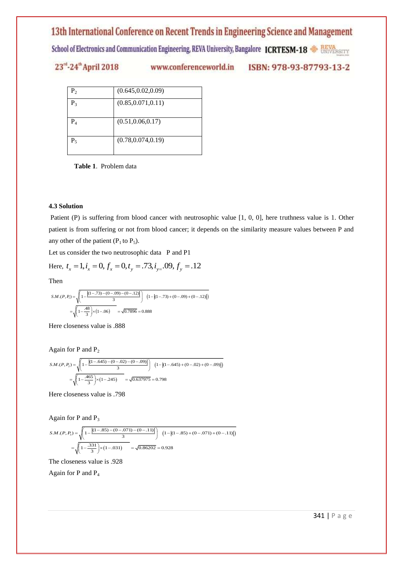School of Electronics and Communication Engineering, REVA University, Bangalore ICRTESM-18 SURVERSITY

# 23rd-24th April 2018

www.conferenceworld.in

ISBN: 978-93-87793-13-2

| $P_{2}$          | (0.645, 0.02, 0.09) |
|------------------|---------------------|
| $P_{3}$          | (0.85, 0.071, 0.11) |
| $\mathrm{P}_{4}$ | (0.51, 0.06, 0.17)  |
| $P_5$            | (0.78, 0.074, 0.19) |

 **Table 1**. Problem data

#### **4.3 Solution**

Patient (P) is suffering from blood cancer with neutrosophic value [1, 0, 0], here truthness value is 1. Other patient is from suffering or not from blood cancer; it depends on the similarity measure values between P and any other of the patient  $(P_1$  to  $P_5)$ .

Let us consider the two neutrosophic data P and P1  
Here, 
$$
t_x = 1
$$
,  $i_x = 0$ ,  $f_x = 0$ ,  $t_y = .73$ ,  $i_{y=}$ .09,  $f_y = .12$ 

Then  
\n
$$
S.M.(P, P_1) = \sqrt{\left(1 - \frac{|(1 - .73) - (0 - .09) - (0 - .12)|}{3}\right) \left(1 - |(1 - .73) + (0 - .09) + (0 - .12)|\right)}
$$
\n
$$
= \sqrt{\left(1 - \frac{.48}{3}\right) \times (1 - .06)} = \sqrt{0.7896} = 0.888
$$

Here closeness value is .888

Again for P and P<sub>2</sub>  
\n
$$
S.M.(P, P_2) = \sqrt{\left(1 - \frac{|(1 - .645) - (0 - .02) - (0 - .09)|}{3}\right) \left(1 - |(1 - .645) + (0 - .02) + (0 - .09)|\right)}
$$
\n
$$
= \sqrt{\left(1 - \frac{.465}{3}\right) \times (1 - .245)} = \sqrt{0.637975} = 0.798
$$

Here closeness value is .798

Again for  $P$  and  $P_3$ 

Again for P and P<sub>3</sub>  
\n
$$
S.M.(P, P_3) = \sqrt{\left(1 - \frac{|(1 - .85) - (0 - .071) - (0 - .11)|}{3}\right) \left(1 - |(1 - .85) + (0 - .071) + (0 - .11)|\right)}
$$
\n
$$
= \sqrt{\left(1 - \frac{.331}{3}\right) \times (1 - .031)} = \sqrt{0.86202} = 0.928
$$

The closeness value is .928

Again for P and P<sup>4</sup>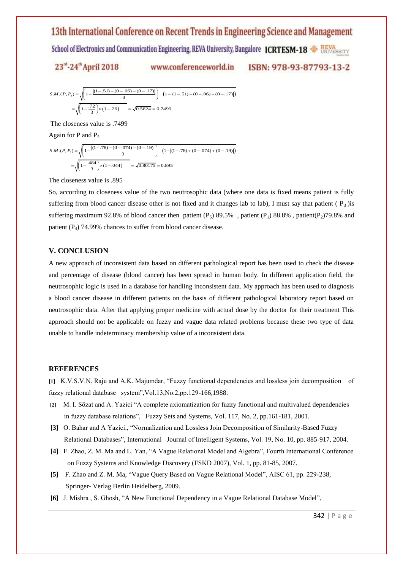School of Electronics and Communication Engineering, REVA University, Bangalore ICRTESM-18

$$
SM.(P, P_4) = \sqrt{1 - \frac{|(1 - .51) - (0 - .06) - (0 - .17)|}{3}} = \sqrt{1 - \frac{|(1 - .51) - (0 - .06) - (0 - .17)|}{3}} = \sqrt{0.5624} = 0.7499
$$

The closeness value is .7499

Again for  $P$  and  $P_5$ 

The closeness value 1s .7499  
\nAgain for P and P<sub>5</sub>  
\n
$$
S.M.(P, P_s) = \sqrt{\left(1 - \frac{|(1 - .78) - (0 - .074) - (0 - .19)|}{3}\right) \left(1 - |(1 - .78) + (0 - .074) + (0 - .19)|\right)}
$$
\n
$$
= \sqrt{\left(1 - \frac{.484}{3}\right) \times (1 - .044)} = \sqrt{0.80175} = 0.895
$$

The closeness value is .895

So, according to closeness value of the two neutrosophic data (where one data is fixed means patient is fully suffering from blood cancer disease other is not fixed and it changes lab to lab), I must say that patient ( $P_3$ ) is suffering maximum 92.8% of blood cancer then patient  $(P_5)$  89.5%, patient  $(P_1)$  88.8%, patient(P<sub>2</sub>)79.8% and patient  $(P_4)$  74.99% chances to suffer from blood cancer disease.

#### **V. CONCLUSION**

A new approach of inconsistent data based on different pathological report has been used to check the disease and percentage of disease (blood cancer) has been spread in human body. In different application field, the neutrosophic logic is used in a database for handling inconsistent data. My approach has been used to diagnosis a blood cancer disease in different patients on the basis of different pathological laboratory report based on neutrosophic data. After that applying proper medicine with actual dose by the doctor for their treatment This approach should not be applicable on fuzzy and vague data related problems because these two type of data unable to handle indeterminacy membership value of a inconsistent data.

#### **REFERENCES**

**[1]** K.V.S.V.N. Raju and A.K. Majumdar, "Fuzzy functional dependencies and lossless join decomposition of fuzzy relational database system",Vol.13,No.2,pp.129-166,1988.

- **[2]** M. I. Sözat and A. Yazici "A complete axiomatization for fuzzy functional and multivalued dependencies in fuzzy database relations", Fuzzy Sets and Systems, Vol. 117, No. 2, pp.161-181, 2001.
- **[3]** O. Bahar and A Yazici., "Normalization and Lossless Join Decomposition of Similarity-Based Fuzzy Relational Databases", International Journal of Intelligent Systems, Vol. 19, No. 10, pp. 885-917, 2004.
- **[4]** F. Zhao, Z. M. Ma and L. Yan, "A Vague Relational Model and Algebra", Fourth International Conference on Fuzzy Systems and Knowledge Discovery (FSKD 2007), Vol. 1, pp. 81-85, 2007.
- **[5]** F. Zhao and Z. M. Ma, "Vague Query Based on Vague Relational Model", AISC 61, pp. 229-238, Springer- Verlag Berlin Heidelberg, 2009.
- **[6]** J. Mishra , S. Ghosh, "A New Functional Dependency in a Vague Relational Database Model",